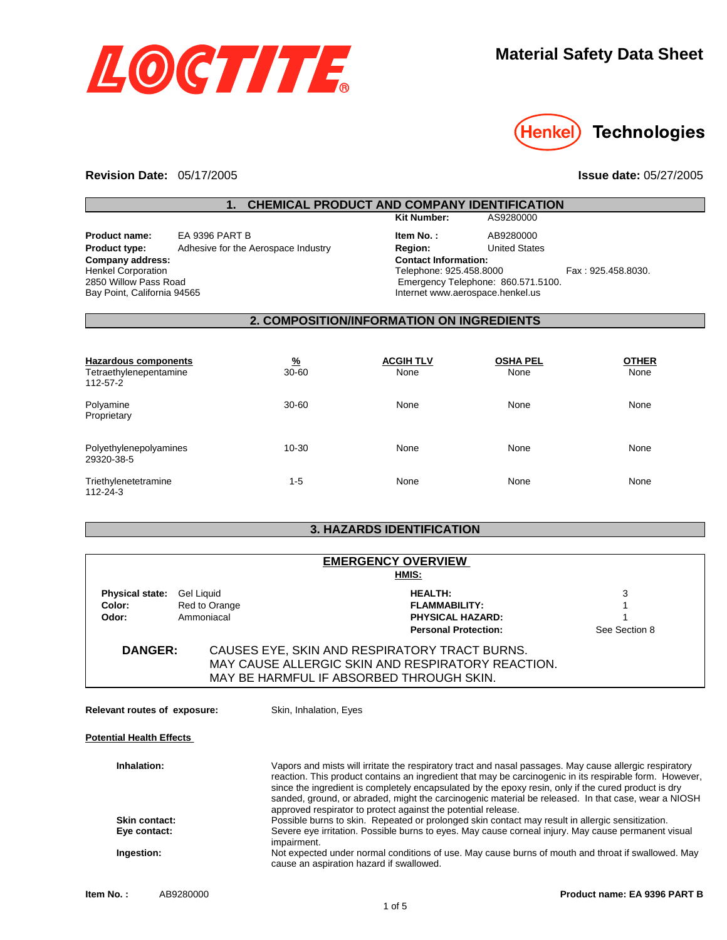



**Technologies** 

**Issue date:** 05/27/2005

#### **Revision Date:**  05/17/2005

# **1. CHEMICAL PRODUCT AND COMPANY IDENTIFICATION**

**Product type:** Adhesive for the Aerospace Industry **Company address:** Henkel Corporation 2850 Willow Pass Road Bay Point, California 94565 **Product name:** EA 9396 PART B

| <b>Kit Number:</b>                 | AS9280000            |                    |
|------------------------------------|----------------------|--------------------|
| Item No.:                          | AB9280000            |                    |
| Region:                            | <b>United States</b> |                    |
| <b>Contact Information:</b>        |                      |                    |
| Telephone: 925.458.8000            |                      | Fax: 925.458.8030. |
| Emergency Telephone: 860.571.5100. |                      |                    |
| Internet www.aerospace.henkel.us   |                      |                    |
|                                    |                      |                    |

#### **2. COMPOSITION/INFORMATION ON INGREDIENTS**

| Hazardous components<br>Tetraethylenepentamine<br>112-57-2 | $\frac{9}{6}$<br>$30 - 60$ | <b>ACGIH TLV</b><br>None | <b>OSHA PEL</b><br>None | <b>OTHER</b><br>None |
|------------------------------------------------------------|----------------------------|--------------------------|-------------------------|----------------------|
| Polyamine<br>Proprietary                                   | $30 - 60$                  | None                     | None                    | None                 |
| Polyethylenepolyamines<br>29320-38-5                       | $10 - 30$                  | None                     | None                    | None                 |
| Triethylenetetramine<br>112-24-3                           | $1 - 5$                    | None                     | None                    | None                 |

## **3. HAZARDS IDENTIFICATION**

|                                                                 |               | <b>EMERGENCY OVERVIEW</b>   |               |
|-----------------------------------------------------------------|---------------|-----------------------------|---------------|
| HMIS:                                                           |               |                             |               |
| <b>Physical state:</b>                                          | Gel Liquid    | <b>HEALTH:</b>              | 3             |
| Color:                                                          | Red to Orange | <b>FLAMMABILITY:</b>        |               |
| Odor:                                                           | Ammoniacal    | <b>PHYSICAL HAZARD:</b>     |               |
|                                                                 |               | <b>Personal Protection:</b> | See Section 8 |
| CAUSES EYE, SKIN AND RESPIRATORY TRACT BURNS.<br><b>DANGER:</b> |               |                             |               |
| MAY CAUSE ALLERGIC SKIN AND RESPIRATORY REACTION.               |               |                             |               |
| MAY BE HARMFUL IF ABSORBED THROUGH SKIN.                        |               |                             |               |

**Relevant routes of exposure:** Skin, Inhalation, Eyes

**Potential Health Effects** 

| Inhalation:   | Vapors and mists will irritate the respiratory tract and nasal passages. May cause allergic respiratory<br>reaction. This product contains an ingredient that may be carcinogenic in its respirable form. However,<br>since the ingredient is completely encapsulated by the epoxy resin, only if the cured product is dry<br>sanded, ground, or abraded, might the carcinogenic material be released. In that case, wear a NIOSH<br>approved respirator to protect against the potential release. |
|---------------|----------------------------------------------------------------------------------------------------------------------------------------------------------------------------------------------------------------------------------------------------------------------------------------------------------------------------------------------------------------------------------------------------------------------------------------------------------------------------------------------------|
| Skin contact: | Possible burns to skin. Repeated or prolonged skin contact may result in allergic sensitization.                                                                                                                                                                                                                                                                                                                                                                                                   |
| Eye contact:  | Severe eye irritation. Possible burns to eyes. May cause corneal injury. May cause permanent visual<br>impairment.                                                                                                                                                                                                                                                                                                                                                                                 |
| Ingestion:    | Not expected under normal conditions of use. May cause burns of mouth and throat if swallowed. May<br>cause an aspiration hazard if swallowed.                                                                                                                                                                                                                                                                                                                                                     |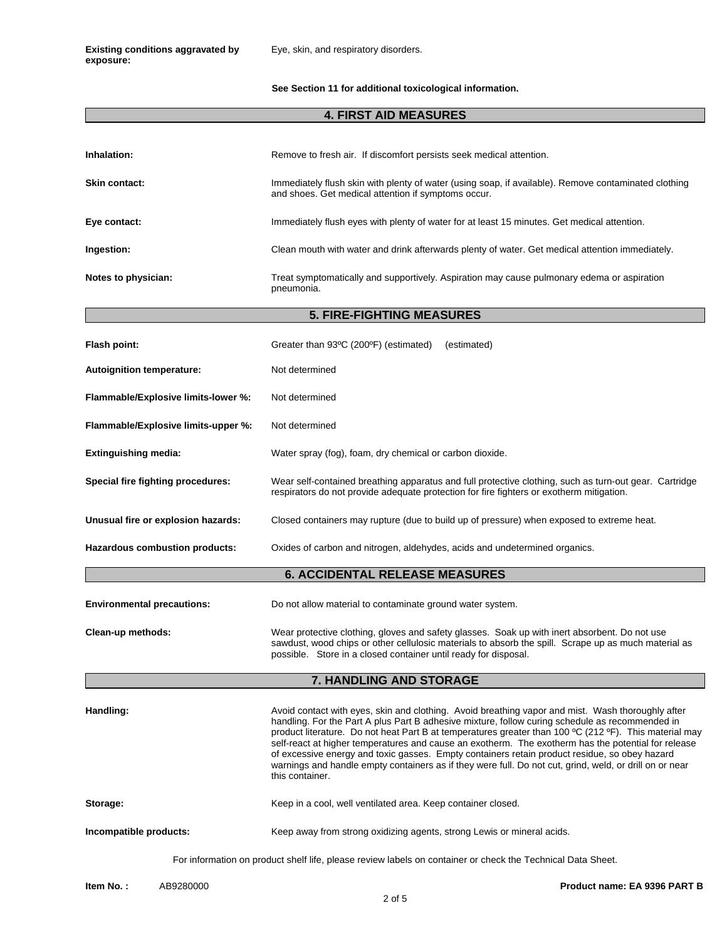**Existing conditions aggravated by exposure:**

**See Section 11 for additional toxicological information.** 

## **4. FIRST AID MEASURES**

| Inhalation:                                                                                                 | Remove to fresh air. If discomfort persists seek medical attention.                                                                                                                                                                                                                                                                                                                                                                                                                                                                                                                                                                                  |  |
|-------------------------------------------------------------------------------------------------------------|------------------------------------------------------------------------------------------------------------------------------------------------------------------------------------------------------------------------------------------------------------------------------------------------------------------------------------------------------------------------------------------------------------------------------------------------------------------------------------------------------------------------------------------------------------------------------------------------------------------------------------------------------|--|
| <b>Skin contact:</b>                                                                                        | Immediately flush skin with plenty of water (using soap, if available). Remove contaminated clothing<br>and shoes. Get medical attention if symptoms occur.                                                                                                                                                                                                                                                                                                                                                                                                                                                                                          |  |
| Eye contact:                                                                                                | Immediately flush eyes with plenty of water for at least 15 minutes. Get medical attention.                                                                                                                                                                                                                                                                                                                                                                                                                                                                                                                                                          |  |
| Ingestion:                                                                                                  | Clean mouth with water and drink afterwards plenty of water. Get medical attention immediately.                                                                                                                                                                                                                                                                                                                                                                                                                                                                                                                                                      |  |
| Notes to physician:                                                                                         | Treat symptomatically and supportively. Aspiration may cause pulmonary edema or aspiration<br>pneumonia.                                                                                                                                                                                                                                                                                                                                                                                                                                                                                                                                             |  |
|                                                                                                             | <b>5. FIRE-FIGHTING MEASURES</b>                                                                                                                                                                                                                                                                                                                                                                                                                                                                                                                                                                                                                     |  |
| Flash point:                                                                                                | Greater than 93°C (200°F) (estimated)<br>(estimated)                                                                                                                                                                                                                                                                                                                                                                                                                                                                                                                                                                                                 |  |
| <b>Autoignition temperature:</b>                                                                            | Not determined                                                                                                                                                                                                                                                                                                                                                                                                                                                                                                                                                                                                                                       |  |
| Flammable/Explosive limits-lower %:                                                                         | Not determined                                                                                                                                                                                                                                                                                                                                                                                                                                                                                                                                                                                                                                       |  |
| Flammable/Explosive limits-upper %:                                                                         | Not determined                                                                                                                                                                                                                                                                                                                                                                                                                                                                                                                                                                                                                                       |  |
| <b>Extinguishing media:</b>                                                                                 | Water spray (fog), foam, dry chemical or carbon dioxide.                                                                                                                                                                                                                                                                                                                                                                                                                                                                                                                                                                                             |  |
| Special fire fighting procedures:                                                                           | Wear self-contained breathing apparatus and full protective clothing, such as turn-out gear. Cartridge<br>respirators do not provide adequate protection for fire fighters or exotherm mitigation.                                                                                                                                                                                                                                                                                                                                                                                                                                                   |  |
| Unusual fire or explosion hazards:                                                                          | Closed containers may rupture (due to build up of pressure) when exposed to extreme heat.                                                                                                                                                                                                                                                                                                                                                                                                                                                                                                                                                            |  |
| Hazardous combustion products:                                                                              | Oxides of carbon and nitrogen, aldehydes, acids and undetermined organics.                                                                                                                                                                                                                                                                                                                                                                                                                                                                                                                                                                           |  |
|                                                                                                             | <b>6. ACCIDENTAL RELEASE MEASURES</b>                                                                                                                                                                                                                                                                                                                                                                                                                                                                                                                                                                                                                |  |
| <b>Environmental precautions:</b>                                                                           | Do not allow material to contaminate ground water system.                                                                                                                                                                                                                                                                                                                                                                                                                                                                                                                                                                                            |  |
| Clean-up methods:                                                                                           | Wear protective clothing, gloves and safety glasses. Soak up with inert absorbent. Do not use<br>sawdust, wood chips or other cellulosic materials to absorb the spill. Scrape up as much material as<br>possible. Store in a closed container until ready for disposal.                                                                                                                                                                                                                                                                                                                                                                             |  |
|                                                                                                             | 7. HANDLING AND STORAGE                                                                                                                                                                                                                                                                                                                                                                                                                                                                                                                                                                                                                              |  |
| Handling:                                                                                                   | Avoid contact with eyes, skin and clothing. Avoid breathing vapor and mist. Wash thoroughly after<br>handling. For the Part A plus Part B adhesive mixture, follow curing schedule as recommended in<br>product literature. Do not heat Part B at temperatures greater than 100 °C (212 °F). This material may<br>self-react at higher temperatures and cause an exotherm. The exotherm has the potential for release<br>of excessive energy and toxic gasses. Empty containers retain product residue, so obey hazard<br>warnings and handle empty containers as if they were full. Do not cut, grind, weld, or drill on or near<br>this container. |  |
| Storage:                                                                                                    | Keep in a cool, well ventilated area. Keep container closed.                                                                                                                                                                                                                                                                                                                                                                                                                                                                                                                                                                                         |  |
| Incompatible products:                                                                                      | Keep away from strong oxidizing agents, strong Lewis or mineral acids.                                                                                                                                                                                                                                                                                                                                                                                                                                                                                                                                                                               |  |
| For information on product shelf life, please review labels on container or check the Technical Data Sheet. |                                                                                                                                                                                                                                                                                                                                                                                                                                                                                                                                                                                                                                                      |  |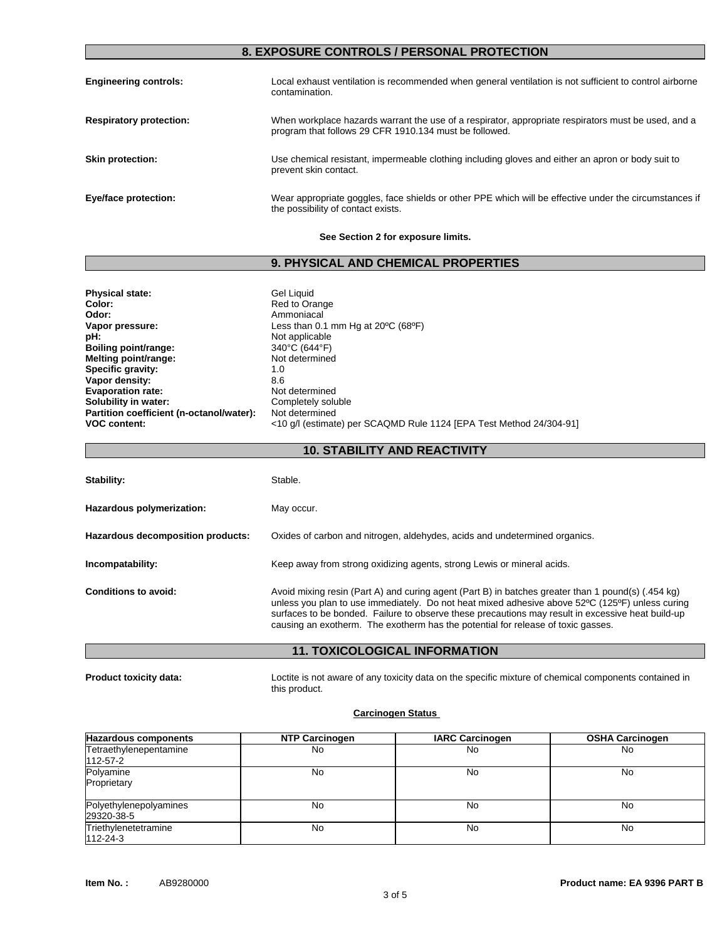## **8. EXPOSURE CONTROLS / PERSONAL PROTECTION**

| <b>Engineering controls:</b>   | Local exhaust ventilation is recommended when general ventilation is not sufficient to control airborne<br>contamination.                                     |
|--------------------------------|---------------------------------------------------------------------------------------------------------------------------------------------------------------|
| <b>Respiratory protection:</b> | When workplace hazards warrant the use of a respirator, appropriate respirators must be used, and a<br>program that follows 29 CFR 1910.134 must be followed. |
| <b>Skin protection:</b>        | Use chemical resistant, impermeable clothing including gloves and either an apron or body suit to<br>prevent skin contact.                                    |
| Eye/face protection:           | Wear appropriate goggles, face shields or other PPE which will be effective under the circumstances if<br>the possibility of contact exists.                  |

#### **See Section 2 for exposure limits.**

## **9. PHYSICAL AND CHEMICAL PROPERTIES**

| <b>Physical state:</b>                   | Gel Liquid                                                          |
|------------------------------------------|---------------------------------------------------------------------|
| Color:                                   | Red to Orange                                                       |
| Odor:                                    | Ammoniacal                                                          |
| Vapor pressure:                          | Less than 0.1 mm Hg at $20^{\circ}$ C (68 $^{\circ}$ F)             |
| pH:                                      | Not applicable                                                      |
| Boiling point/range:                     | 340°C (644°F)                                                       |
| Melting point/range:                     | Not determined                                                      |
| Specific gravity:                        | 1.0                                                                 |
| Vapor density:                           | 8.6                                                                 |
| <b>Evaporation rate:</b>                 | Not determined                                                      |
| Solubility in water:                     | Completely soluble                                                  |
|                                          | Not determined                                                      |
| <b>VOC content:</b>                      | <10 g/l (estimate) per SCAQMD Rule 1124 [EPA Test Method 24/304-91] |
| Partition coefficient (n-octanol/water): |                                                                     |

**10. STABILITY AND REACTIVITY**

| Stability:                        | Stable.                                                                                                                                                                                                                                                                                                                                                                                        |
|-----------------------------------|------------------------------------------------------------------------------------------------------------------------------------------------------------------------------------------------------------------------------------------------------------------------------------------------------------------------------------------------------------------------------------------------|
| Hazardous polymerization:         | May occur.                                                                                                                                                                                                                                                                                                                                                                                     |
| Hazardous decomposition products: | Oxides of carbon and nitrogen, aldehydes, acids and undetermined organics.                                                                                                                                                                                                                                                                                                                     |
| Incompatability:                  | Keep away from strong oxidizing agents, strong Lewis or mineral acids.                                                                                                                                                                                                                                                                                                                         |
| Conditions to avoid:              | Avoid mixing resin (Part A) and curing agent (Part B) in batches greater than 1 pound(s) (.454 kg)<br>unless you plan to use immediately. Do not heat mixed adhesive above 52°C (125°F) unless curing<br>surfaces to be bonded. Failure to observe these precautions may result in excessive heat build-up<br>causing an exotherm. The exotherm has the potential for release of toxic gasses. |

#### **11. TOXICOLOGICAL INFORMATION**

**Product toxicity data:** Loctite is not aware of any toxicity data on the specific mixture of chemical components contained in this product.

#### **Carcinogen Status**

| <b>Hazardous components</b>          | <b>NTP Carcinogen</b> | <b>IARC Carcinogen</b> | <b>OSHA Carcinogen</b> |
|--------------------------------------|-----------------------|------------------------|------------------------|
| Tetraethylenepentamine<br>112-57-2   | No                    | No                     | No                     |
| Polyamine<br>Proprietary             | No                    | No                     | No                     |
| Polyethylenepolyamines<br>29320-38-5 | No                    | No                     | No                     |
| Triethylenetetramine<br>112-24-3     | No                    | No                     | No                     |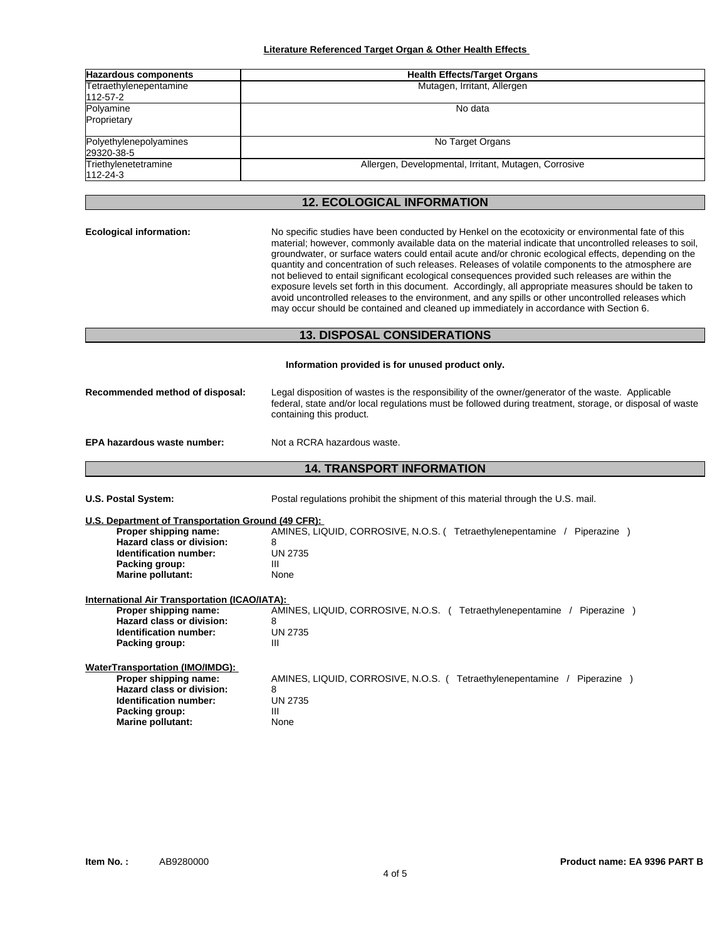| <b>Hazardous components</b> | <b>Health Effects/Target Organs</b>                   |  |
|-----------------------------|-------------------------------------------------------|--|
| Tetraethylenepentamine      | Mutagen, Irritant, Allergen                           |  |
| 112-57-2                    |                                                       |  |
| Polyamine                   | No data                                               |  |
| Proprietary                 |                                                       |  |
| Polyethylenepolyamines      | No Target Organs                                      |  |
| 29320-38-5                  |                                                       |  |
| Triethylenetetramine        | Allergen, Developmental, Irritant, Mutagen, Corrosive |  |
| 112-24-3                    |                                                       |  |

## **12. ECOLOGICAL INFORMATION**

**Ecological information:** No specific studies have been conducted by Henkel on the ecotoxicity or environmental fate of this material; however, commonly available data on the material indicate that uncontrolled releases to soil, groundwater, or surface waters could entail acute and/or chronic ecological effects, depending on the quantity and concentration of such releases. Releases of volatile components to the atmosphere are not believed to entail significant ecological consequences provided such releases are within the exposure levels set forth in this document. Accordingly, all appropriate measures should be taken to avoid uncontrolled releases to the environment, and any spills or other uncontrolled releases which may occur should be contained and cleaned up immediately in accordance with Section 6. **13. DISPOSAL CONSIDERATIONS Information provided is for unused product only. Recommended method of disposal:** Legal disposition of wastes is the responsibility of the owner/generator of the waste. Applicable federal, state and/or local regulations must be followed during treatment, storage, or disposal of waste containing this product. **EPA hazardous waste number:** Not a RCRA hazardous waste. **14. TRANSPORT INFORMATION U.S. Postal System:** Postal regulations prohibit the shipment of this material through the U.S. mail. **U.S. Department of Transportation Ground (49 CFR): Proper shipping name:** AMINES, LIQUID, CORROSIVE, N.O.S. ( Tetraethylenepentamine / Piperazine ) **Hazard class or division:** 8<br> **Identification number:** 8 **Identification number: Packing group:** III **Marine pollutant:** None **International Air Transportation (ICAO/IATA): Proper shipping name:** AMINES, LIQUID, CORROSIVE, N.O.S. ( Tetraethylenepentamine / Piperazine )  **Hazard class or division:** 8 **Identification number:** UN 2735<br>Packing group: UN 2735 **Packing group: WaterTransportation (IMO/IMDG): Proper shipping name:** AMINES, LIQUID, CORROSIVE, N.O.S. (Tetraethylenepentamine / Piperazine )  **Hazard class or division:** 8 **Identification number:** UN 2735 **Packing group:** III **Marine pollutant:** None